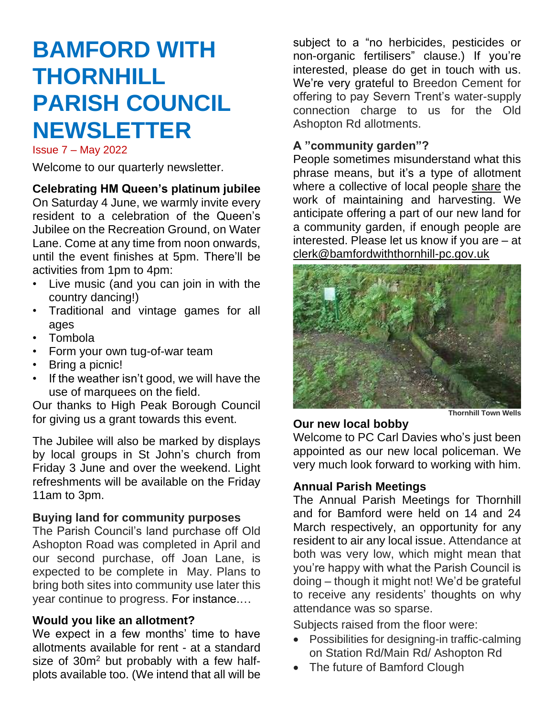# **BAMFORD WITH THORNHILL PARISH COUNCIL NEWSLETTER**

Issue 7 – May 2022

Welcome to our quarterly newsletter.

**Celebrating HM Queen's platinum jubilee**

On Saturday 4 June, we warmly invite every resident to a celebration of the Queen's Jubilee on the Recreation Ground, on Water Lane. Come at any time from noon onwards, until the event finishes at 5pm. There'll be activities from 1pm to 4pm:

- Live music (and you can join in with the country dancing!)
- Traditional and vintage games for all ages
- Tombola
- Form your own tug-of-war team
- Bring a picnic!
- If the weather isn't good, we will have the use of marquees on the field.

Our thanks to High Peak Borough Council for giving us a grant towards this event.

The Jubilee will also be marked by displays by local groups in St John's church from Friday 3 June and over the weekend. Light refreshments will be available on the Friday 11am to 3pm.

#### **Buying land for community purposes**

The Parish Council's land purchase off Old Ashopton Road was completed in April and our second purchase, off Joan Lane, is expected to be complete in May. Plans to bring both sites into community use later this year continue to progress. For instance.…

#### **Would you like an allotment?**

We expect in a few months' time to have allotments available for rent - at a standard size of 30m<sup>2</sup> but probably with a few halfplots available too. (We intend that all will be subject to a "no herbicides, pesticides or non-organic fertilisers" clause.) If you're interested, please do get in touch with us. We're very grateful to Breedon Cement for offering to pay Severn Trent's water-supply connection charge to us for the Old Ashopton Rd allotments.

#### **A "community garden"?**

People sometimes misunderstand what this phrase means, but it's a type of allotment where a collective of local people share the work of maintaining and harvesting. We anticipate offering a part of our new land for a community garden, if enough people are interested. Please let us know if you are – at clerk@bamfordwiththornhill-pc.gov.uk



#### **Thornhill Town Wells**

#### **Our new local bobby**

Welcome to PC Carl Davies who's just been appointed as our new local policeman. We very much look forward to working with him.

#### **Annual Parish Meetings**

The Annual Parish Meetings for Thornhill and for Bamford were held on 14 and 24 March respectively, an opportunity for any resident to air any local issue. Attendance at both was very low, which might mean that you're happy with what the Parish Council is doing – though it might not! We'd be grateful to receive any residents' thoughts on why attendance was so sparse.

Subjects raised from the floor were:

- Possibilities for designing-in traffic-calming on Station Rd/Main Rd/ Ashopton Rd
- The future of Bamford Clough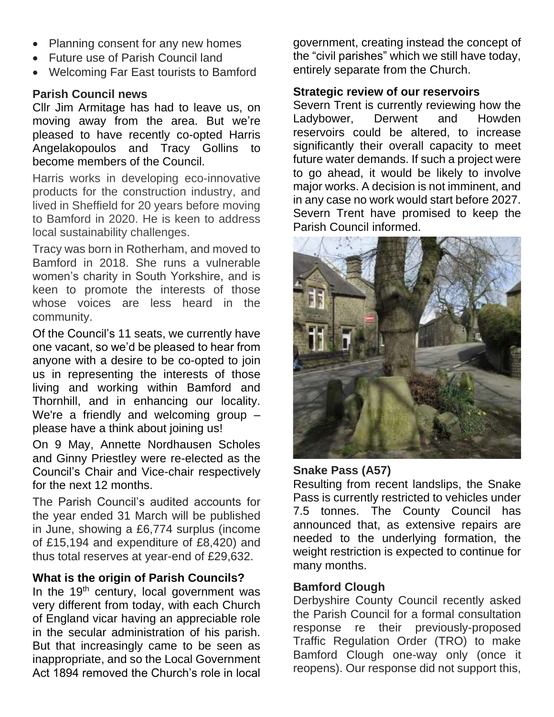- Planning consent for any new homes
- Future use of Parish Council land
- Welcoming Far East tourists to Bamford

## **Parish Council news**

Cllr Jim Armitage has had to leave us, on moving away from the area. But we're pleased to have recently co-opted Harris Angelakopoulos and Tracy Gollins to become members of the Council.

Harris works in developing eco-innovative products for the construction industry, and lived in Sheffield for 20 years before moving to Bamford in 2020. He is keen to address local sustainability challenges.

Tracy was born in Rotherham, and moved to Bamford in 2018. She runs a vulnerable women's charity in South Yorkshire, and is keen to promote the interests of those whose voices are less heard in the community.

Of the Council's 11 seats, we currently have one vacant, so we'd be pleased to hear from anyone with a desire to be co-opted to join us in representing the interests of those living and working within Bamford and Thornhill, and in enhancing our locality. We're a friendly and welcoming group – please have a think about joining us!

On 9 May, Annette Nordhausen Scholes and Ginny Priestley were re-elected as the Council's Chair and Vice-chair respectively for the next 12 months.

The Parish Council's audited accounts for the year ended 31 March will be published in June, showing a £6,774 surplus (income of £15,194 and expenditure of £8,420) and thus total reserves at year-end of £29,632.

## **What is the origin of Parish Councils?**

In the  $19<sup>th</sup>$  century, local government was very different from today, with each Church of England vicar having an appreciable role in the secular administration of his parish. But that increasingly came to be seen as inappropriate, and so the Local Government Act 1894 removed the Church's role in local

government, creating instead the concept of the "civil parishes" which we still have today, entirely separate from the Church.

#### **Strategic review of our reservoirs**

Severn Trent is currently reviewing how the Ladybower, Derwent and Howden reservoirs could be altered, to increase significantly their overall capacity to meet future water demands. If such a project were to go ahead, it would be likely to involve major works. A decision is not imminent, and in any case no work would start before 2027. Severn Trent have promised to keep the Parish Council informed.



#### **Snake Pass (A57)**

Resulting from recent landslips, the Snake Pass is currently restricted to vehicles under 7.5 tonnes. The County Council has announced that, as extensive repairs are needed to the underlying formation, the weight restriction is expected to continue for many months.

#### **Bamford Clough**

Derbyshire County Council recently asked the Parish Council for a formal consultation response re their previously-proposed Traffic Regulation Order (TRO) to make Bamford Clough one-way only (once it reopens). Our response did not support this,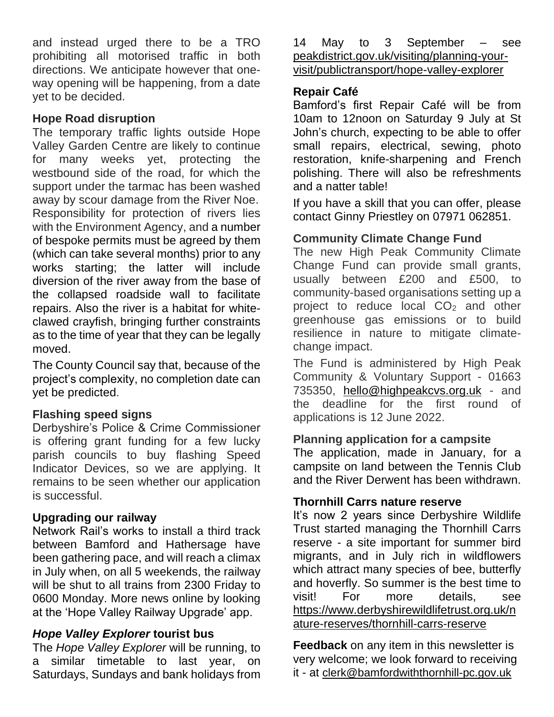and instead urged there to be a TRO prohibiting all motorised traffic in both directions. We anticipate however that oneway opening will be happening, from a date yet to be decided.

#### **Hope Road disruption**

The temporary traffic lights outside Hope Valley Garden Centre are likely to continue for many weeks yet, protecting the westbound side of the road, for which the support under the tarmac has been washed away by scour damage from the River Noe. Responsibility for protection of rivers lies with the Environment Agency, and a number of bespoke permits must be agreed by them (which can take several months) prior to any works starting; the latter will include diversion of the river away from the base of the collapsed roadside wall to facilitate repairs. Also the river is a habitat for whiteclawed crayfish, bringing further constraints as to the time of year that they can be legally moved.

The County Council say that, because of the project's complexity, no completion date can yet be predicted.

## **Flashing speed signs**

Derbyshire's Police & Crime Commissioner is offering grant funding for a few lucky parish councils to buy flashing Speed Indicator Devices, so we are applying. It remains to be seen whether our application is successful.

## **Upgrading our railway**

Network Rail's works to install a third track between Bamford and Hathersage have been gathering pace, and will reach a climax in July when, on all 5 weekends, the railway will be shut to all trains from 2300 Friday to 0600 Monday. More news online by looking at the 'Hope Valley Railway Upgrade' app.

## *Hope Valley Explorer* **tourist bus**

The *Hope Valley Explorer* will be running, to a similar timetable to last year, on Saturdays, Sundays and bank holidays from

14 May to 3 September – see [peakdistrict.gov.uk/visiting/planning-your](https://peakdistrict.gov.uk/visiting/planning-your-visit/publictransport/hope-valley-explorer)[visit/publictransport/hope-valley-explorer](https://peakdistrict.gov.uk/visiting/planning-your-visit/publictransport/hope-valley-explorer)

#### **Repair Café**

Bamford's first Repair Café will be from 10am to 12noon on Saturday 9 July at St John's church, expecting to be able to offer small repairs, electrical, sewing, photo restoration, knife-sharpening and French polishing. There will also be refreshments and a natter table!

If you have a skill that you can offer, please contact Ginny Priestley on 07971 062851.

#### **Community Climate Change Fund**

The new High Peak Community Climate Change Fund can provide small grants, usually between £200 and £500, to community-based organisations setting up a project to reduce local  $CO<sub>2</sub>$  and other greenhouse gas emissions or to build resilience in nature to mitigate climatechange impact.

The Fund is administered by High Peak Community & Voluntary Support - 01663 735350, [hello@highpeakcvs.org.uk](mailto:hello@highpeakcvs.org.uk) - and the deadline for the first round of applications is 12 June 2022.

#### **Planning application for a campsite**

The application, made in January, for a campsite on land between the Tennis Club and the River Derwent has been withdrawn.

#### **Thornhill Carrs nature reserve**

It's now 2 years since Derbyshire Wildlife Trust started managing the Thornhill Carrs reserve - a site important for summer bird migrants, and in July rich in wildflowers which attract many species of bee, butterfly and hoverfly. So summer is the best time to visit! For more details, see [https://www.derbyshirewildlifetrust.org.uk/n](https://www.derbyshirewildlifetrust.org.uk/nature-reserves/thornhill-carrs-reserve) [ature-reserves/thornhill-carrs-reserve](https://www.derbyshirewildlifetrust.org.uk/nature-reserves/thornhill-carrs-reserve)

**Feedback** on any item in this newsletter is very welcome; we look forward to receiving it - at [clerk@bamfordwiththornhill-pc.gov.uk](about:blank)